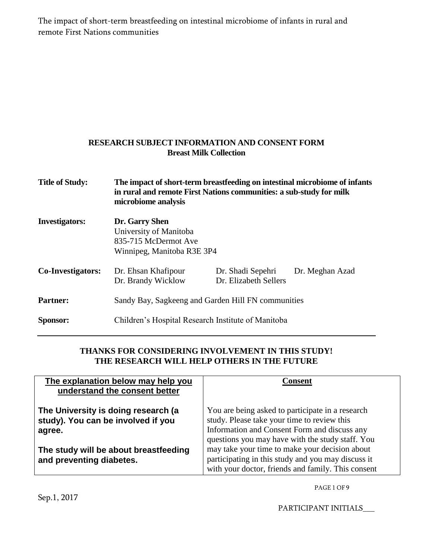The impact of short-term breastfeeding on intestinal microbiome of infants in rural and remote First Nations communities

## **RESEARCH SUBJECT INFORMATION AND CONSENT FORM Breast Milk Collection**

| <b>Title of Study:</b>   | The impact of short-term breastfeeding on intestinal microbiome of infants<br>in rural and remote First Nations communities: a sub-study for milk<br>microbiome analysis |                                            |                 |
|--------------------------|--------------------------------------------------------------------------------------------------------------------------------------------------------------------------|--------------------------------------------|-----------------|
| <b>Investigators:</b>    | Dr. Garry Shen<br>University of Manitoba<br>835-715 McDermot Ave<br>Winnipeg, Manitoba R3E 3P4                                                                           |                                            |                 |
| <b>Co-Investigators:</b> | Dr. Ehsan Khafipour<br>Dr. Brandy Wicklow                                                                                                                                | Dr. Shadi Sepehri<br>Dr. Elizabeth Sellers | Dr. Meghan Azad |
| <b>Partner:</b>          | Sandy Bay, Sagkeeng and Garden Hill FN communities                                                                                                                       |                                            |                 |
| Sponsor:                 | Children's Hospital Research Institute of Manitoba                                                                                                                       |                                            |                 |

## **THANKS FOR CONSIDERING INVOLVEMENT IN THIS STUDY! THE RESEARCH WILL HELP OTHERS IN THE FUTURE**

| The explanation below may help you<br>understand the consent better                 | Consent                                                                                                                                                                                             |
|-------------------------------------------------------------------------------------|-----------------------------------------------------------------------------------------------------------------------------------------------------------------------------------------------------|
| The University is doing research (a<br>study). You can be involved if you<br>agree. | You are being asked to participate in a research<br>study. Please take your time to review this<br>Information and Consent Form and discuss any<br>questions you may have with the study staff. You |
| The study will be about breastfeeding<br>and preventing diabetes.                   | may take your time to make your decision about<br>participating in this study and you may discuss it<br>with your doctor, friends and family. This consent                                          |

PAGE 1 OF 9

Sep.1, 2017

PARTICIPANT INITIALS\_\_\_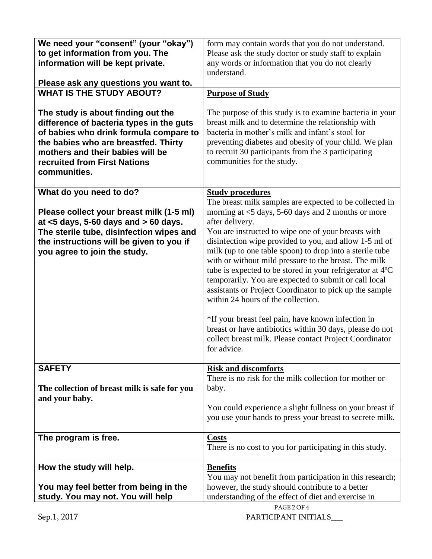| We need your "consent" (your "okay")          | form may contain words that you do not understand.        |  |
|-----------------------------------------------|-----------------------------------------------------------|--|
| to get information from you. The              | Please ask the study doctor or study staff to explain     |  |
| information will be kept private.             | any words or information that you do not clearly          |  |
|                                               | understand.                                               |  |
|                                               |                                                           |  |
| Please ask any questions you want to.         |                                                           |  |
| <b>WHAT IS THE STUDY ABOUT?</b>               | <b>Purpose of Study</b>                                   |  |
|                                               |                                                           |  |
| The study is about finding out the            | The purpose of this study is to examine bacteria in your  |  |
|                                               | breast milk and to determine the relationship with        |  |
| difference of bacteria types in the guts      |                                                           |  |
| of babies who drink formula compare to        | bacteria in mother's milk and infant's stool for          |  |
| the babies who are breastfed. Thirty          | preventing diabetes and obesity of your child. We plan    |  |
| mothers and their babies will be              | to recruit 30 participants from the 3 participating       |  |
| recruited from First Nations                  | communities for the study.                                |  |
|                                               |                                                           |  |
| communities.                                  |                                                           |  |
|                                               |                                                           |  |
| What do you need to do?                       | <b>Study procedures</b>                                   |  |
|                                               | The breast milk samples are expected to be collected in   |  |
| Please collect your breast milk (1-5 ml)      | morning at $<$ 5 days, 5-60 days and 2 months or more     |  |
|                                               |                                                           |  |
| at $<$ 5 days, 5-60 days and $>$ 60 days.     | after delivery.                                           |  |
| The sterile tube, disinfection wipes and      | You are instructed to wipe one of your breasts with       |  |
| the instructions will be given to you if      | disinfection wipe provided to you, and allow 1-5 ml of    |  |
| you agree to join the study.                  | milk (up to one table spoon) to drop into a sterile tube  |  |
|                                               |                                                           |  |
|                                               | with or without mild pressure to the breast. The milk     |  |
|                                               | tube is expected to be stored in your refrigerator at 4°C |  |
|                                               | temporarily. You are expected to submit or call local     |  |
|                                               | assistants or Project Coordinator to pick up the sample   |  |
|                                               | within 24 hours of the collection.                        |  |
|                                               |                                                           |  |
|                                               |                                                           |  |
|                                               | *If your breast feel pain, have known infection in        |  |
|                                               | breast or have antibiotics within 30 days, please do not  |  |
|                                               | collect breast milk. Please contact Project Coordinator   |  |
|                                               | for advice.                                               |  |
|                                               |                                                           |  |
|                                               |                                                           |  |
| <b>SAFETY</b>                                 | <b>Risk and discomforts</b>                               |  |
|                                               | There is no risk for the milk collection for mother or    |  |
| The collection of breast milk is safe for you | baby.                                                     |  |
| and your baby.                                |                                                           |  |
|                                               | You could experience a slight fullness on your breast if  |  |
|                                               |                                                           |  |
|                                               | you use your hands to press your breast to secrete milk.  |  |
|                                               |                                                           |  |
| The program is free.                          | <b>Costs</b>                                              |  |
|                                               | There is no cost to you for participating in this study.  |  |
|                                               |                                                           |  |
|                                               |                                                           |  |
| How the study will help.                      | <b>Benefits</b>                                           |  |
|                                               | You may not benefit from participation in this research;  |  |
| You may feel better from being in the         | however, the study should contribute to a better          |  |
| study. You may not. You will help             | understanding of the effect of diet and exercise in       |  |
|                                               | PAGE 2 OF 4                                               |  |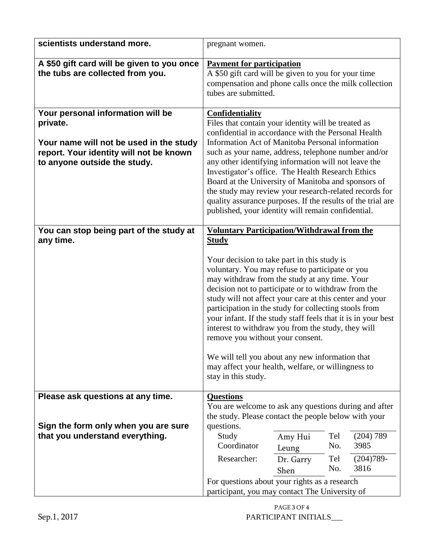| scientists understand more.                                                                                                                                         | pregnant women.                                                                                                                                                                                                                                                                                                                                                                                                                                                                                                                                                                                                                                                                             |  |
|---------------------------------------------------------------------------------------------------------------------------------------------------------------------|---------------------------------------------------------------------------------------------------------------------------------------------------------------------------------------------------------------------------------------------------------------------------------------------------------------------------------------------------------------------------------------------------------------------------------------------------------------------------------------------------------------------------------------------------------------------------------------------------------------------------------------------------------------------------------------------|--|
| A \$50 gift card will be given to you once<br>the tubs are collected from you.                                                                                      | <b>Payment for participation</b><br>A \$50 gift card will be given to you for your time<br>compensation and phone calls once the milk collection<br>tubes are submitted.                                                                                                                                                                                                                                                                                                                                                                                                                                                                                                                    |  |
| Your personal information will be<br>private.<br>Your name will not be used in the study<br>report. Your identity will not be known<br>to anyone outside the study. | <b>Confidentiality</b><br>Files that contain your identity will be treated as<br>confidential in accordance with the Personal Health<br>Information Act of Manitoba Personal information<br>such as your name, address, telephone number and/or<br>any other identifying information will not leave the<br>Investigator's office. The Health Research Ethics<br>Board at the University of Manitoba and sponsors of<br>the study may review your research-related records for<br>quality assurance purposes. If the results of the trial are<br>published, your identity will remain confidential.                                                                                          |  |
| You can stop being part of the study at<br>any time.                                                                                                                | <b>Voluntary Participation/Withdrawal from the</b><br><b>Study</b><br>Your decision to take part in this study is<br>voluntary. You may refuse to participate or you<br>may withdraw from the study at any time. Your<br>decision not to participate or to withdraw from the<br>study will not affect your care at this center and your<br>participation in the study for collecting stools from<br>your infant. If the study staff feels that it is in your best<br>interest to withdraw you from the study, they will<br>remove you without your consent.<br>We will tell you about any new information that<br>may affect your health, welfare, or willingness to<br>stay in this study. |  |
| Please ask questions at any time.<br>Sign the form only when you are sure<br>that you understand everything.                                                        | <b>Questions</b><br>You are welcome to ask any questions during and after<br>the study. Please contact the people below with your<br>questions.<br>(204) 789<br>Study<br>Tel<br>Amy Hui<br>Coordinator<br>No.<br>3985<br>Leung<br>Researcher:<br>$(204)789-$<br>Tel<br>Dr. Garry<br>3816<br>No.<br>Shen                                                                                                                                                                                                                                                                                                                                                                                     |  |
|                                                                                                                                                                     | For questions about your rights as a research<br>participant, you may contact The University of                                                                                                                                                                                                                                                                                                                                                                                                                                                                                                                                                                                             |  |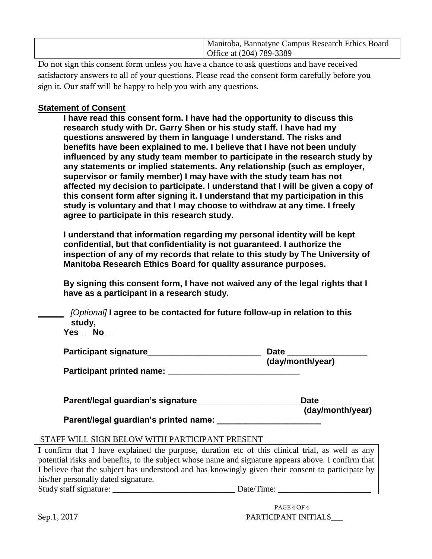| Manitoba, Bannatyne Campus Research Ethics Board |
|--------------------------------------------------|
| Office at (204) 789-3389                         |
|                                                  |

Do not sign this consent form unless you have a chance to ask questions and have received satisfactory answers to all of your questions. Please read the consent form carefully before you sign it. Our staff will be happy to help you with any questions.

## **Statement of Consent**

**I have read this consent form. I have had the opportunity to discuss this research study with Dr. Garry Shen or his study staff. I have had my questions answered by them in language I understand. The risks and benefits have been explained to me. I believe that I have not been unduly influenced by any study team member to participate in the research study by any statements or implied statements. Any relationship (such as employer, supervisor or family member) I may have with the study team has not affected my decision to participate. I understand that I will be given a copy of this consent form after signing it. I understand that my participation in this study is voluntary and that I may choose to withdraw at any time. I freely agree to participate in this research study.** 

**I understand that information regarding my personal identity will be kept confidential, but that confidentiality is not guaranteed. I authorize the inspection of any of my records that relate to this study by The University of Manitoba Research Ethics Board for quality assurance purposes.**

**By signing this consent form, I have not waived any of the legal rights that I have as a participant in a research study.**

 *[Optional]* **I agree to be contacted for future follow-up in relation to this study,** 

**Yes \_ No \_**

| Participant signature     | Date             |  |
|---------------------------|------------------|--|
|                           | (day/month/year) |  |
| Participant printed name: |                  |  |

| Parent/legal guardian's signature_ | <b>Date</b>      |
|------------------------------------|------------------|
|                                    | (day/month/year) |

**Parent/legal guardian's printed name: \_\_\_\_\_\_\_\_\_\_\_\_\_\_\_\_\_\_\_\_\_\_**

## STAFF WILL SIGN BELOW WITH PARTICIPANT PRESENT

I confirm that I have explained the purpose, duration etc of this clinical trial, as well as any potential risks and benefits, to the subject whose name and signature appears above. I confirm that I believe that the subject has understood and has knowingly given their consent to participate by his/her personally dated signature.

Study staff signature: \_\_\_\_\_\_\_\_\_\_\_\_\_\_\_\_\_\_\_\_\_\_\_\_\_\_\_\_\_ Date/Time: \_\_\_\_\_\_\_\_\_\_\_\_\_\_\_\_\_\_\_\_\_\_

 PAGE 4 OF 4 Sep.1, 2017 PARTICIPANT INITIALS